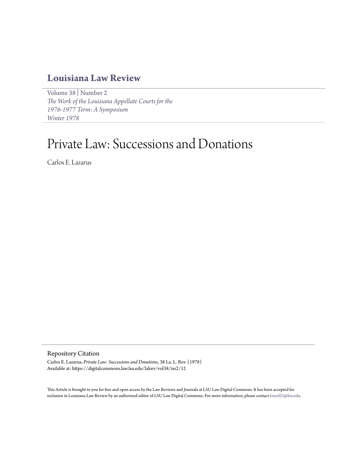# **[Louisiana Law Review](https://digitalcommons.law.lsu.edu/lalrev)**

[Volume 38](https://digitalcommons.law.lsu.edu/lalrev/vol38) | [Number 2](https://digitalcommons.law.lsu.edu/lalrev/vol38/iss2) *[The Work of the Louisiana Appellate Courts for the](https://digitalcommons.law.lsu.edu/lalrev/vol38/iss2) [1976-1977 Term: A Symposium](https://digitalcommons.law.lsu.edu/lalrev/vol38/iss2) [Winter 1978](https://digitalcommons.law.lsu.edu/lalrev/vol38/iss2)*

# Private Law: Successions and Donations

Carlos E. Lazarus

# Repository Citation

Carlos E. Lazarus, *Private Law: Successions and Donations*, 38 La. L. Rev. (1978) Available at: https://digitalcommons.law.lsu.edu/lalrev/vol38/iss2/12

This Article is brought to you for free and open access by the Law Reviews and Journals at LSU Law Digital Commons. It has been accepted for inclusion in Louisiana Law Review by an authorized editor of LSU Law Digital Commons. For more information, please contact [kreed25@lsu.edu](mailto:kreed25@lsu.edu).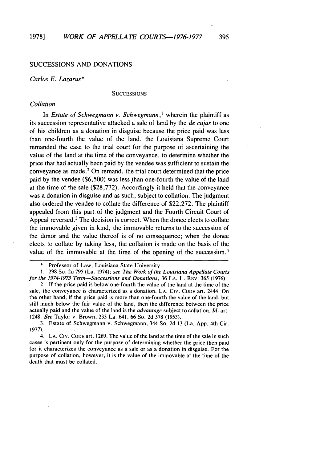# SUCCESSIONS AND DONATIONS

#### *Carlos E. Lazarus\**

#### **SUCCESSIONS**

# *Collation*

In *Estate of Schwegmann v. Schwegmann,'* wherein the plaintiff as its succession representative attacked a sale of land by the *de cujus* to one of his children as a donation in disguise because the price paid was less than one-fourth the value of the land, the Louisiana Supreme Court remanded the case to the trial court for the purpose of ascertaining the value of the land at the time of the conveyance, to determine whether the price that had actually been paid by the vendee was sufficient to sustain the conveyance as made.2 On remand, the trial court determined that the price paid by the vendee (\$6,500) was less than one-fourth the value of the land at the time of the sale (\$28,772). Accordingly it held that the conveyance was a donation in disguise and as such, subject to collation. The judgment also ordered the vendee to collate the difference of \$22,272. The plaintiff appealed from this part of the judgment and the Fourth Circuit Court of Appeal reversed. $3$  The decision is correct. When the donee elects to collate the immovable given in kind, the immovable returns to the succession of the donor and the value thereof is of no consequence; when the donee elects to collate by taking less, the collation is made on the basis of the value of the immovable at the time of the opening of the succession. <sup>4</sup>

2. If the price paid is below one-fourth the value of the land at the time of the sale, the conveyance is characterized as a donation. LA. CIV. CODE art. 2444. On the other hand, if the price paid is more than one-fourth the value of the land, but still much below the fair value of the land, then the difference between the price actually paid and the value of the land is the *advantage* subject to collation. *Id.* art. 1248. *See* Taylor v. Brown, 233 La. 641, 66 So. 2d 578 (1953).

3. Estate of Schwegmann v. Schwegmann, 344 So. 2d 13 (La. App. 4th Cir. 1977).

4. LA. CIv. CODE art. 1269. The value of the land at the time of the sale in such cases is pertinent only for the purpose of determining whether the price then paid for it characterizes the conveyance as a sale or as a donation in disguise. For the purpose of collation, however, it is the value of the immovable at the time of the death that must be collated.

Professor of Law, Louisiana State University.

**<sup>1.</sup>** 298 So. 2d 795 (La. 1974); *see The Work of the Louisiana Appellate Courts for the 1974-1975 Term--Successions and Donations,* 36 LA. L. REV. 365 (1976).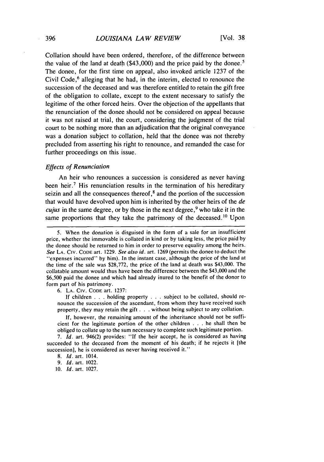Collation should have been ordered, therefore, of the difference between the value of the land at death (\$43,000) and the price paid by the donee. <sup>5</sup> The donee, for the first time on appeal, also invoked article 1237 of the Civil Code,<sup>6</sup> alleging that he had, in the interim, elected to renounce the succession of the deceased and was therefore entitled to retain the gift free of the obligation to collate, except to the extent necessary to satisfy the legitime of the other forced heirs. Over the objection of the appellants that the renunciation of the donee should not be considered on appeal because it was not raised at trial, the court, considering the judgment of the trial court to be nothing more than an adjudication that the original conveyance was a donation subject to collation, held that the donee was not thereby precluded from asserting his right to renounce, and remanded the case for further proceedings on this issue.

#### *Effects of Renunciation*

An heir who renounces a succession is considered as never having been heir.<sup>7</sup> His renunciation results in the termination of his hereditary seizin and all the consequences thereof, $<sup>8</sup>$  and the portion of the succession</sup> that would have devolved upon him is inherited by the other heirs of the *de cujus* in the same degree, or by those in the next degree,<sup>9</sup> who take it in the same proportions that they take the patrimony of the deceased.<sup>10</sup> Upon

6. LA. CIv. CODE art. 1237:

If children . . . holding property . . . subject to be collated, should renounce the succession of the ascendant, from whom they have received such property, they may retain the gift **. . .** without being subject to any collation.

If, however, the remaining amount of the inheritance should not be sufficient for the legitimate portion of the other children . . . he shall then be obliged to collate up to the sum necessary to complete such legitimate portion.

7. *Id.* art. 946(2) provides: **"If** the heir accept, he is considered as having succeeded to the deceased from the moment of his death; if he rejects it [the succession], he is considered as never having received it."

<sup>5.</sup> When the donation is disguised in the form of a sale for an insufficient price, whether the immovable is collated in kind or by taking less, the price paid by the donee should be returned to him in order to preserve equality among the heirs. *See* LA. CIv. **CODE** art. 1229. *See* also id. art. 1269 (permits the donee to deduct the "expenses incurred" by him). In the instant case, although the price of the land at the time of the sale was \$28,772, the price of the land at death was \$43,000. The collatable amount would thus have been the difference between the \$43,000 and the \$6,500 paid the donee and which had already inured to the benefit of the donor to form part of his patrimony.

<sup>8.</sup> *Id.* art. 1014.

<sup>9.</sup> *Id.* art. 1022.

<sup>10.</sup> *Id.* art. 1027.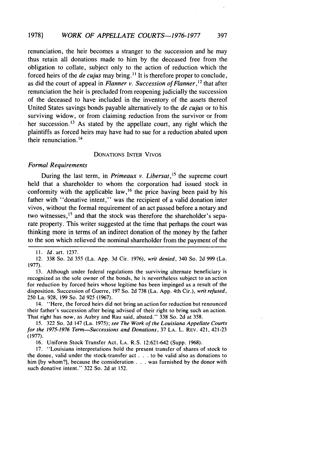renunciation, the heir becomes a stranger to the succession and he may thus retain all donations made to him by the deceased free from the obligation to collate, subject only to the action of reduction which the forced heirs of the *de cujus* may bring.<sup>11</sup> It is therefore proper to conclude, as did the court of appeal in *Flanner v. Succession of Flanner,'2* that after renunciation the heir is precluded from reopening judicially the succession of the deceased to have included in the inventory of the assets thereof United States savings bonds payable alternatively to the *de cujus* or to his surviving widow, or from claiming reduction from the survivor or from her succession.<sup>13</sup> As stated by the appellate court, any right which the plaintiffs as forced heirs may have had to sue for a reduction abated upon their renunciation. <sup>14</sup>

#### DONATIONS INTER VIVOS

## *Formal Requirements*

During the last term, in *Primeaux v. Libersat*,<sup>15</sup> the supreme court held that a shareholder to whom the corporation had issued stock in conformity with the applicable law,<sup>16</sup> the price having been paid by his father with "donative intent," was the recipient of a valid donation inter vivos, without the formal requirement of an act passed before a notary and two witnesses,<sup>17</sup> and that the stock was therefore the shareholder's separate property. This writer suggested at the time that perhaps the court was thinking more in terms of an indirect donation of the money by the father to the son which relieved the nominal shareholder from the payment of the

*11. Id.* art. 1237.

12. 338 So. 2d 355 (La. App. 3d Cir. 1976), *writ denied,* 340 So. 2d 999 (La. 1977).

13. Although under federal regulations the surviving alternate beneficiary is recognized as the sole owner of the bonds, he is nevertheless subject to an action for reduction by forced heirs whose legitime has been impinged as a result of the disposition. Succession of Guerre, 197 So. 2d 738 (La. App. 4th Cir.), *writ refused,* 250 La. 928, 199 So. 2d 925 (1967).

14. "Here, the forced heirs did not bring an action for reduction but renounced their father's succession after being advised of their right to bring such an action. That right has now, as Aubry and Rau said, abated." 338 So. 2d at 358.

15. 322 So. 2d 147 (La. 1975); *see The Work of the Louisiana Appellate Courts* **for the 1975-1976** *Term-Successions* **and** Donations, 37 **LA. L.** REV. 421, 421-23 (1977).

**16.** Uniform Stock Transfer Act, LA. R.S. 12:621-642 (Supp. 1968).

17. "Louisiana interpretations hold the present transfer of shares of stock to the donee, valid under the stock-transfer act **. . .** to be valid also as donations to him **[by** whom?], because the consideration . . . was furnished by the donor with such donative intent." 322 So. 2d at 152.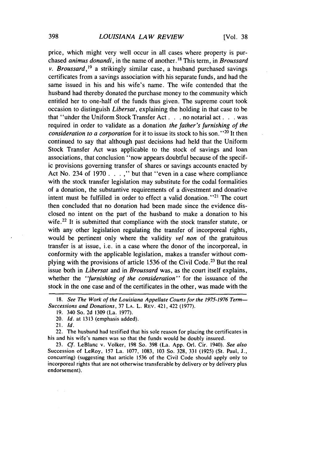price, which might very well occur in all cases where property is purchased *animus donandi*, in the name of another.<sup>18</sup> This term, in *Broussard v.* Broussard, *<sup>1</sup>*9 a strikingly similar case, a husband purchased savings certificates from a savings association with his separate funds, and had the same issued in his and his wife's name. The wife contended that the husband had thereby donated the purchase money to the community which entitled her to one-half of the funds thus given. The supreme court took occasion to distinguish *Libersat,* explaining the holding in that case to be that "under the Uniform Stock Transfer Act... no notarial act **. . .** was required in order to validate as a donation *the father's furnishing of the* consideration to a corporation for it to issue its stock to his son."<sup>20</sup> It ther continued to say that although past decisions had held that the Uniform Stock Transfer Act was applicable to the stock of savings and loan associations, that conclusion "now appears doubtful because of the specific provisions governing transfer of shares or savings accounts enacted by Act No. 234 of 1970 . . . ," but that "even in a case where compliance with the stock transfer legislation may substitute for the codal formalities of a donation, the substantive requirements of a divestment and donative intent must be fulfilled in order to effect a valid donation."<sup>21</sup> The court then concluded that no donation had been made since the evidence disclosed no intent on the part of the husband to make a donation to his wife.<sup>22</sup> It is submitted that compliance with the stock transfer statute, or with any other legislation regulating the transfer of incorporeal rights, would be pertinent only where the validity *vel non* of the gratuitous transfer is at issue, i.e. in a case where the donor of the incorporeal, in conformity with the applicable legislation, makes a transfer without complying with the provisions of article 1536 of the Civil Code. 23 But the real issue both in *Libersat* and in *Broussard* was, as the court itself explains, whether the *"furnishing of the consideration"* for the issuance of the stock in the one case and of the certificates in the other, was made with the

*<sup>18.</sup>* See The *Work of the* Louisiana Appellate Courts for the **1975-1976** Term-Successions and Donations, 37 LA. L. REV. 421, 422 **(1977).**

<sup>19. 340</sup> So. 2d 1309 (La. 1977).

<sup>20.</sup> *Id.* at 1313 (emphasis added).

<sup>21.</sup> *Id.*

<sup>22.</sup> The husband had testified that his sole reason for placing the certificates in his and his wife's names was so that the funds would be doubly insured.

<sup>23.</sup> *Cf.* LeBlanc v. Volker, 198 So. 398 (La. App. Orl. Cir. 1940). *See also* Succession of LeRoy, 157 La. 1077, 1083, 103 So. 328, 331 (1925) (St. Paul, J., concurring) (suggesting that article 1536 of the Civil Code should apply only to incorporeal rights that are not otherwise transferable by delivery or by delivery plus endorsement).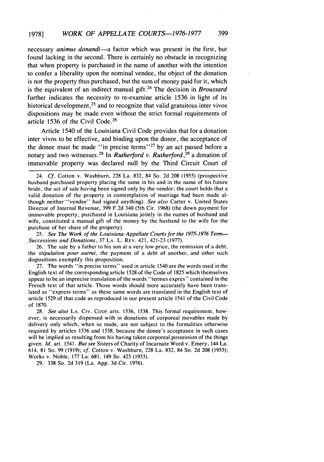necessary *animus donandi-a* factor which was present in the first, but found lacking in the second. There is certainly no obstacle in recognizing that when property is purchased in the name of another with the intention to confer a liberality upon the nominal vendee, the object of the donation is not the property thus purchased, but the sum of money paid for it, which is the equivalent of an indirect manual gift.24 The decision in *Broussard* further indicates the necessity to re-examine article 1536 in light of its historical development,<sup>25</sup> and to recognize that valid gratuitous inter vivos dispositions may be made even without the strict formal requirements of article 1536 of the Civil Code. <sup>26</sup>

Article 1540 of the Louisiana Civil Code provides that for a donation inter vivos to be effective, and binding upon the donor, the acceptance of the donee must be made "in precise terms"<sup>27</sup> by an act passed before a notary and two witnesses.28 In *Rutherford v. Rutherford,29* a donation of immovable property was declared null by the Third Circuit Court of

24. *Cf.* Cotton v. Washburn, 228 La. 832, 84 So. 2d 208 (1955) (prospective husband purchased property placing the same in his and in the name of his future bride, the act of sale having been signed only by the vendor; the court holds that a valid donation of the property in contemplation of marriage had been made although neither "vendee" had signed anything). See also Carter v. United States Director of Internal Revenue, 399 F.2d 340 (5th Cir. 1968) (the down payment for immovable property, purchased in Louisiana jointly in the names of husband and wife, constituted a manual gift of the money by the husband to the wife for the purchase of her share of the property).

25. *See* The Work of the Louisiana Appellate Courts *for the 1975-1976 Term-*Successions and Donations, 37 LA. L. REV. 421, 421-23 (1977).

26. The sale by a father to his son at a very low price, the remission of a debt, the stipulation pour autrui, the payment of a debt of another, and other such dispositions exemplify this proposition.

27. The words "in precise terms" used in article 1540 are the words used in the English text of the corresponding article 1528 of the Code of 1825 which themselves appear to be an imprecise translation of the words "termes expres" contained in the French text of that article. Those words should more accurately have been translated as "express terms" as these same words are translated in the English text of article 1529 of that code as reproduced in our present article 1541 of the Civil Code of 1870.

28. *See also* **LA.** CIv. CODE arts. 1536, 1538. This formal requirement, however, is necessarily dispensed with in donations of corporeal movables made by delivery only which, when so made, are not subject to the formalities otherwise required by articles 1536 and 1538, because the donee's acceptance in such cases will be implied as resulting from his having taken corporeal possession of the things given. *Id.* art. 1541. *But see* Sisters of Charity of Incarnate Word v. Emery, 144 La. 614, 81 So. 99 (1919); *cf.* Cotton v. Washburn, 228 La. 832, 84 So. 2d 208 (1955); Works v. Noble, 177 La. 681, 149 So. 423 (1933).

29. 338 So. 2d 319 (La. App. 3d Cir. 1976).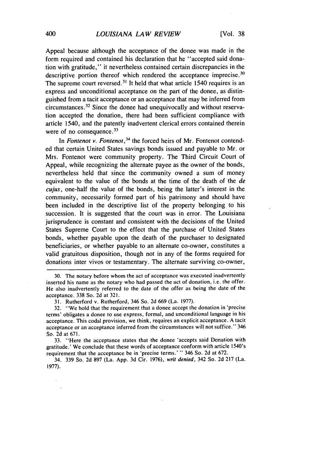Appeal because although the acceptance of the donee was made in the form required and contained his declaration that he "accepted said donation with gratitude," it nevertheless contained certain discrepancies in the descriptive portion thereof which rendered the acceptance imprecise.<sup>30</sup> The supreme court reversed.<sup>31</sup> It held that what article 1540 requires is an express and unconditional acceptance on the part of the donee, as distinguished from a tacit acceptance or an acceptance that may be inferred from circumstances. 32 Since the donee had unequivocally and without reservation accepted the donation, there had been sufficient compliance with article 1540, and the patently inadvertent clerical errors contained therein were of no consequence. $33$ 

In *Fontenot v. Fontenot*,<sup>34</sup> the forced heirs of Mr. Fontenot contended that certain United States savings bonds issued and payable to Mr. or Mrs. Fontenot were community property. The Third Circuit Court of Appeal, while recognizing the alternate payee as the owner of the bonds, nevertheless held that since the community owned a sum of money equivalent to the value of the bonds at the time of the death of the *de cujus,* one-half the value of the bonds, being the latter's interest in the community, necessarily formed part of his patrimony and should have been included in the descriptive list of the property belonging to his succession. It is suggested that the court was in error. The Louisiana jurisprudence is constant and consistent with the decisions of the United States Supreme Court to the effect that the purchase of United States bonds, whether payable upon the death of the purchaser to designated beneficiaries, or whether payable to an alternate co-owner, constitutes a valid gratuitous disposition, though not in any of the forms required for donations inter vivos or testamentary. The alternate surviving co-owner,

33. "Here the acceptance states that the donee 'accepts said Donation with gratitude.' We conclude that these words of acceptance conform with article 1540's requirement that the acceptance be in 'precise terms.' " 346 So. 2d at 672.

34. 339 So. 2d 897 (La. App. 3d Cir. 1976), writ denied, 342 So. 2d 217 (La. 1977).

<sup>30.</sup> The notary before whom the act of acceptance was executed inadvertently inserted his name as the notary who had passed the act of donation, i.e. the offer. He also inadvertently referred to the date of the offer as being the date of the acceptance. 338 So. 2d at 321.

<sup>31.</sup> Rutherford v. Rutherford, 346 So. 2d 669 (La. 1977).

<sup>32. &</sup>quot;We hold that the requirement that a donee accept the donation in 'precise terms' obligates a donee to use express, formal, and unconditional language in his acceptance. This codal provision, we think, requires an explicit acceptance. A tacit acceptance or an acceptance inferred from the circumstances will not suffice." 346 So. 2d at 671.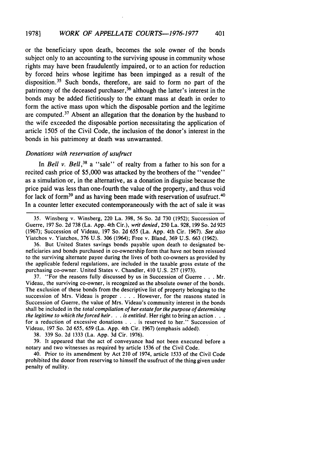or the beneficiary upon death, becomes the sole owner of the bonds subject only to an accounting to the surviving spouse in community whose rights may have been fraudulently impaired, or to an action for reduction by forced heirs whose legitime has been impinged as a result of the disposition.<sup>35</sup> Such bonds, therefore, are said to form no part of the patrimony of the deceased purchaser, 36 although the latter's interest in the bonds may be added fictitiously to the extant mass at death in order to form the active mass upon which the disposable portion and the legitime are computed. 37 Absent an allegation that the donation by the husband to the wife exceeded the disposable portion necessitating the application of article 1505 of the Civil Code, the inclusion of the donor's interest in the bonds in his patrimony at death was unwarranted.

### *Donations with reservation of usufruct*

In *Bell v. Bell*, <sup>38</sup> a "sale" of realty from a father to his son for a recited cash price of \$5,000 was attacked by the brothers of the "vendee" as a simulation or, in the alternative, as a donation in disguise because the price paid was less than one-fourth the value of the property, and thus void for lack of form<sup>39</sup> and as having been made with reservation of usufruct.<sup>40</sup> In a counter letter executed contemporaneously with the act of sale it was

36. But United States savings bonds payable upon death to designated beneficiaries and bonds purchased in co-ownership form that have not been reissued to the surviving alternate payee during the lives of both co-owners as provided by the applicable federal regulations, are included in the taxable gross estate of the purchasing co-owner. United States v. Chandler, 410 U.S. 257 (1973).

37. "For the reasons fully discussed by us in Succession of Guerre ... Mr. Videau, the surviving co-owner, is recognized as the absolute owner of the bonds. The exclusion of these bonds from the descriptive list of property belonging to the succession of Mrs. Videau is proper . **. .** . However, for the reasons stated in Succession of Guerre, the value of Mrs. Videau's community interest in the bonds shall be included in the *total compilation of her estate for the purpose of determining the legitime to which the forced heir.* **. .** *is entitled.* Her right to bring an action... for a reduction of excessive donations . . . is reserved to her." Succession of Videau, 197 So. 2d 655, 659 (La. App. 4th Cir. 1967) (emphasis added).

38. 339 So. 2d 1333 (La. App. 3d Cir. 1976).

39. It appeared that the act of conveyance had not been executed before a notary and two witnesses as required by article 1536 of the Civil Code.

40. Prior to its amendment by Act 210 of 1974, article 1533 of the Civil Code prohibited the donor from reserving to himself the usufruct of the thing given under penalty of nullity.

<sup>35.</sup> Winsberg v. Winsberg, 220 La. 398, 56 So. 2d 730 (1952); Succession of Guerre, 197 So. 2d 738 (La. App. 4th Cir.), writ denied, 250 La. 928, 199 So. 2d 925 (1967); Succession of Videau, 197 So. 2d 655 (La. App. 4th Cir. 1967). *See also* Yiatchos v. Yiatchos, 376 U.S. 306 (1964); Free v. Bland, 369 U.S. 663 (1962).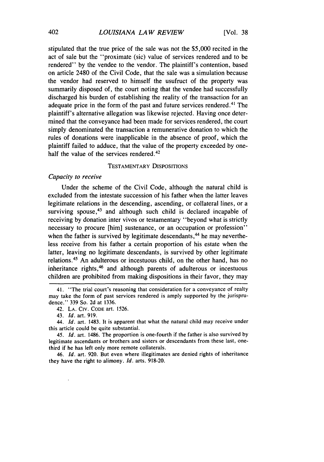stipulated that the true price of the sale was not the **\$5,000** recited in the act of sale but the "proximate (sic) value of services rendered and to be rendered" by the vendee to the vendor. The plaintiff's contention, based on article 2480 of the Civil Code, that the sale was a simulation because the vendor had reserved to himself the usufruct of the property was summarily disposed of, the court noting that the vendee had successfully discharged his burden of establishing the reality of the transaction for an adequate price in the form of the past and future services rendered.<sup>41</sup> The plaintiff's alternative allegation was likewise rejected. Having once determined that the conveyance had been made for services rendered, the court simply denominated the transaction a remunerative donation to which the rules of donations were inapplicable in the absence of proof, which the plaintiff failed to adduce, that the value of the property exceeded by onehalf the value of the services rendered.<sup>42</sup>

#### TESTAMENTARY DISPOSITIONS

# *Capacity to receive*

Under the scheme of the Civil Code, although the natural child is excluded from the intestate succession of his father when the latter leaves legitimate relations in the descending, ascending, or collateral lines, or a surviving spouse, $43$  and although such child is declared incapable of receiving by donation inter vivos or testamentary "beyond what is strictly necessary to procure [him] sustenance, or an occupation or profession" when the father is survived by legitimate descendants, $44$  he may nevertheless receive from his father a certain proportion of his estate when the latter, leaving no legitimate descendants, is survived by other legitimate relations.<sup>45</sup> An adulterous or incestuous child, on the other hand, has no inheritance rights, 46 and although parents of adulterous or incestuous children are prohibited from making dispositions in their favor, they may

46. *Id.* art. 920. But even where illegitimates are denied rights of inheritance they have the right to alimony. *Id.* arts. 918-20.

<sup>41. &</sup>quot;The trial court's reasoning that consideration for a conveyance of realty may take the form of past services rendered is amply supported by the jurisprudence." 339 So. 2d at 1336.

<sup>42.</sup> LA. Civ. CODE art. 1526.

<sup>43.</sup> *Id.* art. 919.

*<sup>44.</sup> Id.* art. 1483. It is apparent that what the natural child may receive under this article could be quite substantial.

*<sup>45.</sup> Id.* art. 1486. The proportion is one-fourth if the father is also survived by legitimate ascendants or brothers and sisters or descendants from these last, onethird if he has left only more remote collaterals.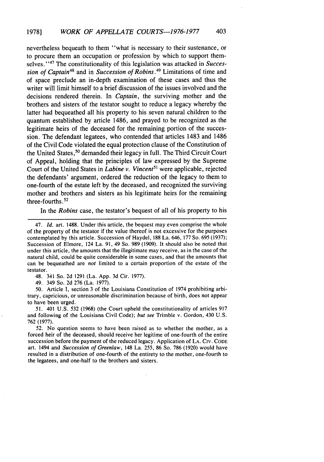nevertheless bequeath to them "what is necessary to their sustenance, or to procure them an occupation or profession by which to support themselves."<sup>47</sup> The constitutionality of this legislation was attacked in *Succession of Captain<sup>48</sup>* and in *Succession of Robins*.<sup>49</sup> Limitations of time and of space preclude an in-depth examination of these cases and thus the writer will limit himself to a brief discussion of the issues involved and the decisions rendered therein. In *Captain,* the surviving mother and the brothers and sisters of the testator sought to reduce a legacy whereby the latter had bequeathed all his property to his seven natural children to the quantum established by article 1486, and prayed to be recognized as the legitimate heirs of the deceased for the remaining portion of the succession. The defendant legatees, who contended that articles 1483 and 1486 of the Civil Code violated the equal protection clause of the Constitution of the United States, 50 demanded their legacy in full. The Third Circuit Court of Appeal, holding that the principles of law expressed by the Supreme Court of the United States in *Labine v. Vincent*<sup>51</sup> were applicable, rejected the defendants' argument, ordered the reduction of the legacy to them to one-fourth of the estate left by the deceased, and recognized the surviving mother and brothers and sisters as his legitimate heirs for the remaining three-fourths **52**

In the *Robins* case, the testator's bequest of all of his property to his

48. 341 So. 2d 1291 (La. App. 3d Cir. 1977).

49. 349 So. 2d 276 (La. 1977).

50. Article I, section 3 of the Louisiana Constitution of 1974 prohibiting arbitrary, capricious, or unreasonable discrimination because of birth, does not appear to have been urged.

51. 401 U.S. 532 (1968) (the Court upheld the constitutionality of articles 917 and following of the Louisiana Civil Code); *but see* Trimble v. Gordon, 430 U.S. 762 (1977).

52. No question seems to have been raised as to whether the mother, as a forced heir of the deceased, should receive her legitime of one-fourth of the entire succession before the payment of the reduced legacy. Application of LA. **CIv. CODE** art. 1494 and Succession of Greenlaw, 148 La. 255, 86 So. 786 (1920) would have resulted in a distribution of one-fourth of the entirety to the mother, one-fourth to the legatees, and one-half to the brothers and sisters.

<sup>47.</sup> *Id.* art. 1488. Under this article, the bequest may even comprise the whole of the property of the testator if the value thereof is not excessive for the purposes contemplated by this article. Succession of Haydel, 188 La. 646, 177 So. 695 (1937); Succession of Elmore, 124 La. 91, 49 So. 989 (1909). It should also be noted that under this article, the amounts that the illegitimate may receive, as in the case of the natural child, could be quite considerable in some cases, and that the amounts that can be bequeathed are *not* limited to a certain proportion of the estate of the testator.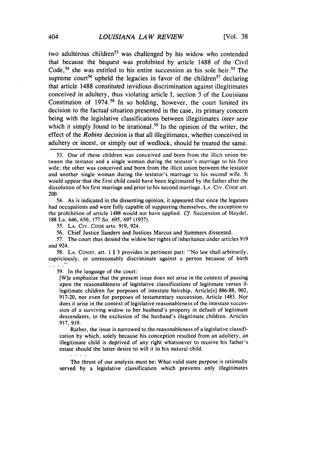two adulterous children<sup>53</sup> was challenged by his widow who contended that because the bequest was prohibited by article 1488 of the Civil Code,<sup>54</sup> she was entitled to his entire succession as his sole heir.<sup>55</sup> The supreme court<sup>56</sup> upheld the legacies in favor of the children<sup>57</sup> declaring that article **1488** constituted invidious discrimination against illegitimates conceived in adultery, thus violating article I, section 3 of the Louisiana Constitution of  $1974<sup>58</sup>$  In so holding, however, the court limited its decision to the factual situation presented in the case, its primary concern being with the legislative classifications between illegitimates *inter sese* which it simply found to be irrational.<sup>59</sup> In the opinion of the writer, the effect of the *Robins* decision is that all illegitimates, whether conceived in adultery or incest, or simply out of wedlock, should be treated the same.

54. As is indicated in the dissenting opinion, it appeared that since the legatees had occupations and were fully capable of supporting themselves, the exception to the prohibition of article 1488 would not have applied. *Cf.* Succession of Haydel, 188 La. 646, 650, 177 So. 695, 697 (1937).

55. LA. Civ. CODE arts. 919, 924.

56. Chief Justice Sanders and Justices Marcus and Summers dissented.

57. The court thus denied the widow her rights of inheritance under articles 919 and 924.

58. LA. CONST. art. **I** § 3 provides in pertinent part: "No law shall arbitrarily, capriciously, or unreasonably discriminate against a person because of birth  $\mathcal{L} \times \mathcal{L}$ 

59. In the language of the court:

[W]e emphasize that the present issue does not arise in the context of passing upon the reasonableness of legislative classifications of legitimate versus illegitimate children for purposes of intestate heirship, Article[s] 886-88, 902, 917-20, nor even for purposes of testamentary succession, Article 1483. Nor does it arise in the context of legislative reasonableness of the intestate succession of a surviving widow to her husband's property in default of legitimate descendants, to the exclusion of the husband's illegitimate children. Articles 917, 919.

Rather, the issue is narrowed to the reasonableness of a legislative classification by which, solely because his conception resulted from an adultery, an illegitimate child is deprived of any right whatsoever to receive his father's estate should the latter desire to will it to his natural child.

 $\mathbf{r} = \mathbf{r} + \mathbf{r}$  .

The thrust of our analysis must be: What valid state purpose is rationally served by a legislative classification which prevents only illegitimates

*<sup>53.</sup>* One of these children was conceived and born from the illicit union between the testator and a single woman during the testator's marriage to his first wife; the other was conceived and born from the illicit union between the testator and another single woman during the testator's marriage to his second wife. It would appear that the first child could have been legitimated by the father after the dissolution of his first marriage and prior to his second marriage. LA. **CIV.** CODE art. 200.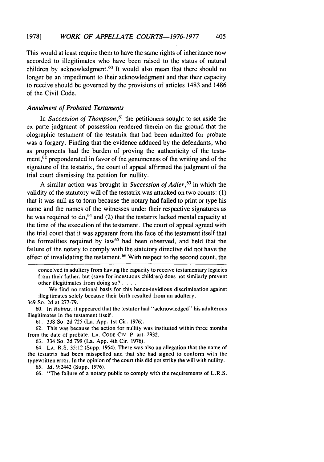This would at least require them to have the same rights of inheritance now accorded to illegitimates who have been raised to the status of natural children by acknowledgment.<sup>60</sup> It would also mean that there should no longer be an impediment to their acknowledgment and that their capacity to receive should be governed by the provisions of articles 1483 and 1486 of the Civil Code.

# Annulment of Probated Testaments

In *Succession of Thompson*,<sup>61</sup> the petitioners sought to set aside the ex parte judgment of possession rendered therein on the ground that the olographic testament of the testatrix that had been admitted for probate was a forgery. Finding that the evidence adduced by the defendants, who as proponents had the burden of proving the authenticity of the testament, 62 preponderated in favor of the genuineness of the writing and of the signature of the testatrix, the court of appeal affirmed the judgment of the trial court dismissing the petition for nullity.

A similar action was brought in *Succession of Adler,<sup>63</sup>*in which the validity of the statutory will of the testatrix was attacked on two counts: (1) that it was null as to form because the notary had failed to print or type his name and the names of the witnesses under their respective signatures as he was required to do,  $64$  and (2) that the testatrix lacked mental capacity at the time of the execution of the testament. The court of appeal agreed with the trial court that it was apparent from the face of the testament itself that the formalities required by law<sup>65</sup> had been observed, and held that the failure of the notary to comply with the statutory directive did not have the effect of invalidating the testament.<sup>66</sup> With respect to the second count, the

conceived in adultery from having the capacity to receive testamentary legacies from their father, but (save for incestuous children) does not similarly prevent other illegitimates from doing so? **....**

We find no rational basis for this hence-invidious discrimination against illegitimates solely because their birth resulted from an adultery. 349 So. 2d at 277-79.

60. In Robins, it appeared that the testator had "acknowledged" his adulterous illegitimates in the testament itself.

61. 338 So. 2d 725 (La. App. Ist Cir. 1976).

62. This was because the action for nullity was instituted within three months from the date of probate. **LA. CODE CIV.** P. art. 2932.

63. 334 So. 2d 799 (La. App. 4th Cir. 1976).

64. **LA.** R.S. 35:12 (Supp. 1954). There was also an allegation that the name of the testatrix had been misspelled and that she had signed to conform with the typewritten error. In the opinion of the court this did not strike the will with nullity.

65. *Id.* 9:2442 (Supp. 1976).

66. "The failure of a notary public to comply with the requirements of L.R.S.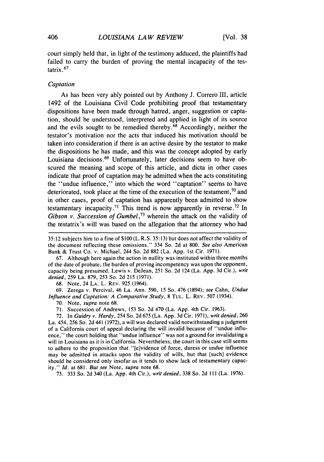court simply held that, in light of the testimony adduced, the plaintiffs had failed to carry the burden of proving the mental incapacity of the testatrix 67

# Captation

As has been very ably pointed out by Anthony J. Correro III, article 1492 of the Louisiana Civil Code prohibiting proof that testamentary dispositions have been made through hatred, anger, suggestion or captation, should be understood, interpreted and applied in light of its source and the evils sought to be remedied thereby.<sup>68</sup> Accordingly, neither the testator's motivation nor the acts that induced his motivation should be taken into consideration if there is an active desire by the testator to make the dispositions he has made, and this was the concept adopted by early Louisiana decisions.<sup>69</sup> Unfortunately, later decisions seem to have obscured the meaning and scope of this article, and dicta in other cases indicate that proof of captation may be admitted when the acts constituting the "undue influence," into which the word "captation" seems to have deteriorated, took place at the time of the execution of the testament,  $\frac{1}{10}$  and in other cases, proof of captation has apparently been admitted to show testamentary incapacity.<sup>71</sup> This trend is now apparently in reverse.<sup>72</sup> In Gibson v. Succession of Gumbel,<sup>73</sup> wherein the attack on the validity of the testatrix's will was based on the allegation that the attorney who had

67. Although here again the action in nullity was instituted within three months of the date of probate, the burden of proving incompetency was upon the opponent, capacity being presumed. Lewis v. DeJean, 251 So. 2d 124 (La. App. 3d Cir.), *writ denied,* 259 La. 879, 253 So. 2d 215 (1971).

68. Note, 24 LA. L. REV. 925 (1964).

69. Zerega v. Percival, 46 La. Ann. 590, 15 So. 476 (1894); *see* Cahn, *Undue Influence and Captation: A Comparative Study,* 8 TUL. L. REV. 507 (1934).

70. Note, *supra* note 68.

71. Succession of Andrews, 153 So. 2d 470 (La. App. 4th Cir. 1963).

72. In *Guidry v. Hardy,* 254 So. 2d 675 (La. App. 3d Cir. 1971), *writ denied,* 260 La. 454, 256 So. 2d 441 (1972), a will was declared valid notwithstanding a judgment of a California court of appeal declaring the will invalid because of "undue influence," the court holding that "undue influence" was not a ground for invalidating a will in Louisiana as it is in California. Nevertheless, the court in this case still seems to adhere to the proposition that "[e]vidence of force, duress or undue influence may be admitted in attacks upon the validity of wills, but that [such] evidence should be considered only insofar as it tends to show lack of testamentary capacity." *Id.* at 681. *But see* Note, *supra* note 68.

73. 333 So. 2d 340 (La. App. 4th Cir.), *writ denied,* 338 So. 2d **Ill** (La. 1976).

<sup>35:12</sup> subjects him to a fine of \$100 (L.R.S. 35:13) but does not affect the validity of the document reflecting these omissions." 334 So. 2d at 800. *See also* American Bank & Trust Co. v. Michael, 244 So. 2d 882 (La. App. 1st Cir. 1971).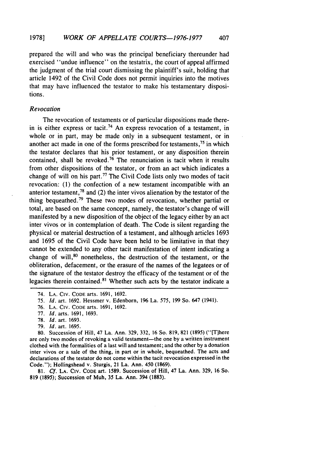prepared the will and who was the principal beneficiary thereunder had exercised "undue influence" on the testatrix, the court of appeal affirmed the judgment of the trial court dismissing the plaintiff's suit, holding that article 1492 of the Civil Code does not permit inquiries into the motives that may have influenced the testator to make his testamentary dispositions.

#### *Revocation*

The revocation of testaments or of particular dispositions made therein is either express or tacit.<sup>74</sup> An express revocation of a testament, in whole or in part, may be made only in a subsequent testament, or in another act made in one of the forms prescribed for testaments, 75 in which the testator declares that his prior testament, or any disposition therein contained, shall be revoked.<sup>76</sup> The renunciation is tacit when it results from other dispositions of the testator, or from an act which indicates a change of will on his part.<sup>77</sup> The Civil Code lists only two modes of tacit revocation: (1) the confection of a new testament incompatible with an anterior testament,<sup>78</sup> and (2) the inter vivos alienation by the testator of the thing bequeathed. 79 These two modes of revocation, whether partial or total, are based on the same concept, namely, the testator's change of will manifested by a new disposition of the object of the legacy either by an act inter vivos or in contemplation of death. The Code is silent regarding the physical or material destruction of a testament, and although articles 1693 and 1695 of the Civil Code have been held to be limitative in that they cannot be extended to any other tacit manifestation of intent indicating a change of will, $80$  nonetheless, the destruction of the testament, or the obliteration, defacement, or the erasure of the names of the legatees or of the signature of the testator destroy the efficacy of the testament or of the legacies therein contained.<sup>81</sup> Whether such acts by the testator indicate a

76. LA. CIv. CODE arts. 1691, 1692.

- 78. Id. art. 1693.
- 79. Id. art. 1695.

80. Succession of Hill, 47 La. Ann. 329, 332, 16 So. 819, 821 (1895) ("[Tlhere are only two modes of revoking a valid testament—the one by a written instrument clothed with the formalities of a last will and testament; and the other by a donation inter vivos or a sale of the thing, in part or in whole, bequeathed. The acts and declarations of the testator do not come within the tacit revocation expressed in the Code."); Hollingshead v. Sturgis, 21 La. Ann. 450 (1869).

81. *Cf.* LA. Civ. CODE art. 1589. Succession of Hill, 47 La. Ann. 329, 16 So. 819 (1895); Succession of Muh, 35 La. Ann. 394 (1883).

<sup>74.</sup> LA. CIv. CODE arts. 1691, 1692.

<sup>75.</sup> Id. art. 1692. Hessmer v. Edenborn, 196 La. 575, 199 So. 647 (1941).

<sup>77.</sup> *Id.* arts. 1691, 1693.